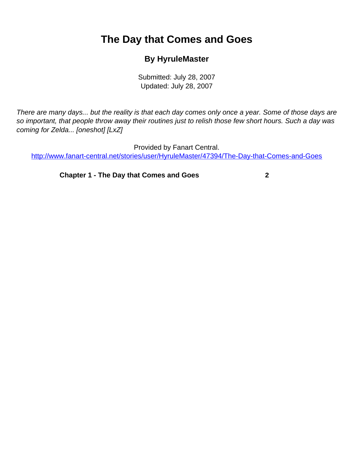## <span id="page-0-0"></span>**The Day that Comes and Goes**

## **By HyruleMaster**

Submitted: July 28, 2007 Updated: July 28, 2007

There are many days... but the reality is that each day comes only once a year. Some of those days are so important, that people throw away their routines just to relish those few short hours. Such a day was coming for Zelda... [oneshot] [LxZ]

Provided by Fanart Central. [http://www.fanart-central.net/stories/user/HyruleMaster/47394/The-Day-that-Comes-and-Goes](#page-0-0)

**[Chapter 1 - The Day that Comes and Goes](#page-1-0) [2](#page-1-0)**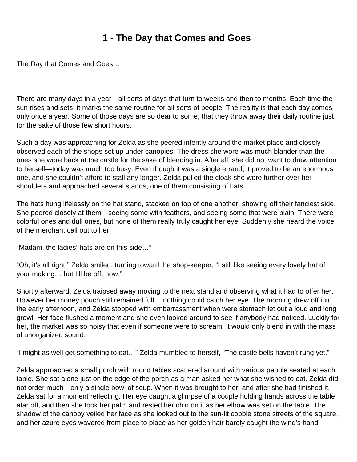## **1 - The Day that Comes and Goes**

<span id="page-1-0"></span>The Day that Comes and Goes…

There are many days in a year—all sorts of days that turn to weeks and then to months. Each time the sun rises and sets; it marks the same routine for all sorts of people. The reality is that each day comes only once a year. Some of those days are so dear to some, that they throw away their daily routine just for the sake of those few short hours.

Such a day was approaching for Zelda as she peered intently around the market place and closely observed each of the shops set up under canopies. The dress she wore was much blander than the ones she wore back at the castle for the sake of blending in. After all, she did not want to draw attention to herself—today was much too busy. Even though it was a single errand, it proved to be an enormous one, and she couldn't afford to stall any longer. Zelda pulled the cloak she wore further over her shoulders and approached several stands, one of them consisting of hats.

The hats hung lifelessly on the hat stand, stacked on top of one another, showing off their fanciest side. She peered closely at them—seeing some with feathers, and seeing some that were plain. There were colorful ones and dull ones, but none of them really truly caught her eye. Suddenly she heard the voice of the merchant call out to her.

"Madam, the ladies' hats are on this side…"

"Oh, it's all right," Zelda smiled, turning toward the shop-keeper, "I still like seeing every lovely hat of your making… but I'll be off, now."

Shortly afterward, Zelda traipsed away moving to the next stand and observing what it had to offer her. However her money pouch still remained full… nothing could catch her eye. The morning drew off into the early afternoon, and Zelda stopped with embarrassment when were stomach let out a loud and long growl. Her face flushed a moment and she even looked around to see if anybody had noticed. Luckily for her, the market was so noisy that even if someone were to scream, it would only blend in with the mass of unorganized sound.

"I might as well get something to eat…" Zelda mumbled to herself, "The castle bells haven't rung yet."

Zelda approached a small porch with round tables scattered around with various people seated at each table. She sat alone just on the edge of the porch as a man asked her what she wished to eat. Zelda did not order much—only a single bowl of soup. When it was brought to her, and after she had finished it, Zelda sat for a moment reflecting. Her eye caught a glimpse of a couple holding hands across the table afar off, and then she took her palm and rested her chin on it as her elbow was set on the table. The shadow of the canopy veiled her face as she looked out to the sun-lit cobble stone streets of the square, and her azure eyes wavered from place to place as her golden hair barely caught the wind's hand.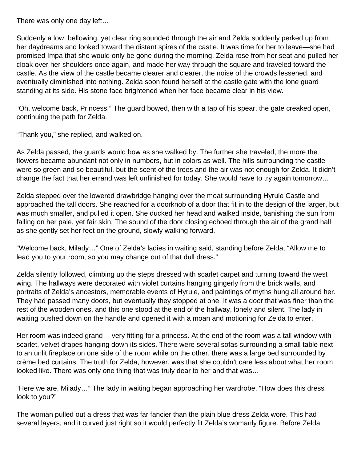There was only one day left…

Suddenly a low, bellowing, yet clear ring sounded through the air and Zelda suddenly perked up from her daydreams and looked toward the distant spires of the castle. It was time for her to leave—she had promised Impa that she would only be gone during the morning. Zelda rose from her seat and pulled her cloak over her shoulders once again, and made her way through the square and traveled toward the castle. As the view of the castle became clearer and clearer, the noise of the crowds lessened, and eventually diminished into nothing. Zelda soon found herself at the castle gate with the lone guard standing at its side. His stone face brightened when her face became clear in his view.

"Oh, welcome back, Princess!" The guard bowed, then with a tap of his spear, the gate creaked open, continuing the path for Zelda.

"Thank you," she replied, and walked on.

As Zelda passed, the guards would bow as she walked by. The further she traveled, the more the flowers became abundant not only in numbers, but in colors as well. The hills surrounding the castle were so green and so beautiful, but the scent of the trees and the air was not enough for Zelda. It didn't change the fact that her errand was left unfinished for today. She would have to try again tomorrow…

Zelda stepped over the lowered drawbridge hanging over the moat surrounding Hyrule Castle and approached the tall doors. She reached for a doorknob of a door that fit in to the design of the larger, but was much smaller, and pulled it open. She ducked her head and walked inside, banishing the sun from falling on her pale, yet fair skin. The sound of the door closing echoed through the air of the grand hall as she gently set her feet on the ground, slowly walking forward.

"Welcome back, Milady…" One of Zelda's ladies in waiting said, standing before Zelda, "Allow me to lead you to your room, so you may change out of that dull dress."

Zelda silently followed, climbing up the steps dressed with scarlet carpet and turning toward the west wing. The hallways were decorated with violet curtains hanging gingerly from the brick walls, and portraits of Zelda's ancestors, memorable events of Hyrule, and paintings of myths hung all around her. They had passed many doors, but eventually they stopped at one. It was a door that was finer than the rest of the wooden ones, and this one stood at the end of the hallway, lonely and silent. The lady in waiting pushed down on the handle and opened it with a moan and motioning for Zelda to enter.

Her room was indeed grand —very fitting for a princess. At the end of the room was a tall window with scarlet, velvet drapes hanging down its sides. There were several sofas surrounding a small table next to an unlit fireplace on one side of the room while on the other, there was a large bed surrounded by crème bed curtains. The truth for Zelda, however, was that she couldn't care less about what her room looked like. There was only one thing that was truly dear to her and that was…

"Here we are, Milady…" The lady in waiting began approaching her wardrobe, "How does this dress look to you?"

The woman pulled out a dress that was far fancier than the plain blue dress Zelda wore. This had several layers, and it curved just right so it would perfectly fit Zelda's womanly figure. Before Zelda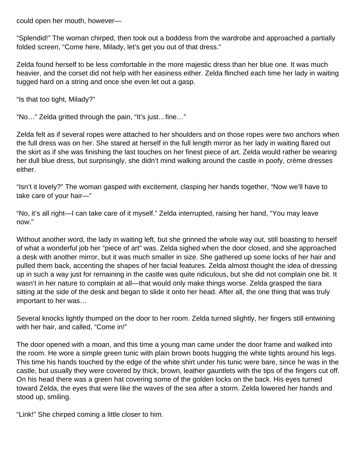could open her mouth, however—

"Splendid!" The woman chirped, then took out a boddess from the wardrobe and approached a partially folded screen, "Come here, Milady, let's get you out of that dress."

Zelda found herself to be less comfortable in the more majestic dress than her blue one. It was much heavier, and the corset did not help with her easiness either. Zelda flinched each time her lady in waiting tugged hard on a string and once she even let out a gasp.

"Is that too tight, Milady?"

"No…" Zelda gritted through the pain, "It's just…fine…"

Zelda felt as if several ropes were attached to her shoulders and on those ropes were two anchors when the full dress was on her. She stared at herself in the full length mirror as her lady in waiting flared out the skirt as if she was finishing the last touches on her finest piece of art. Zelda would rather be wearing her dull blue dress, but surprisingly, she didn't mind walking around the castle in poofy, crème dresses either.

"Isn't it lovely?" The woman gasped with excitement, clasping her hands together, "Now we'll have to take care of your hair—"

"No, it's all right—I can take care of it myself." Zelda interrupted, raising her hand, "You may leave now."

Without another word, the lady in waiting left, but she grinned the whole way out, still boasting to herself of what a wonderful job her "piece of art" was. Zelda sighed when the door closed, and she approached a desk with another mirror, but it was much smaller in size. She gathered up some locks of her hair and pulled them back, accenting the shapes of her facial features. Zelda almost thought the idea of dressing up in such a way just for remaining in the castle was quite ridiculous, but she did not complain one bit. It wasn't in her nature to complain at all—that would only make things worse. Zelda grasped the tiara sitting at the side of the desk and began to slide it onto her head. After all, the one thing that was truly important to her was…

Several knocks lightly thumped on the door to her room. Zelda turned slightly, her fingers still entwining with her hair, and called, "Come in!"

The door opened with a moan, and this time a young man came under the door frame and walked into the room. He wore a simple green tunic with plain brown boots hugging the white tights around his legs. This time his hands touched by the edge of the white shirt under his tunic were bare, since he was in the castle, but usually they were covered by thick, brown, leather gauntlets with the tips of the fingers cut off. On his head there was a green hat covering some of the golden locks on the back. His eyes turned toward Zelda, the eyes that were like the waves of the sea after a storm. Zelda lowered her hands and stood up, smiling.

"Link!" She chirped coming a little closer to him.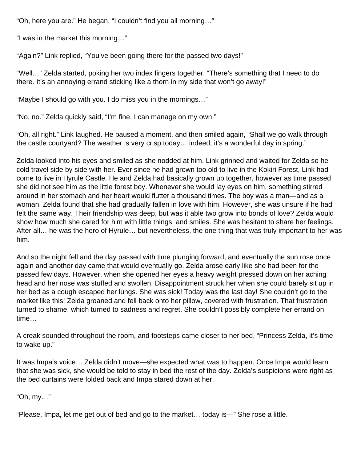"Oh, here you are." He began, "I couldn't find you all morning…"

"I was in the market this morning…"

"Again?" Link replied, "You've been going there for the passed two days!"

"Well…" Zelda started, poking her two index fingers together, "There's something that I need to do there. It's an annoying errand sticking like a thorn in my side that won't go away!"

"Maybe I should go with you. I do miss you in the mornings…"

"No, no." Zelda quickly said, "I'm fine. I can manage on my own."

"Oh, all right." Link laughed. He paused a moment, and then smiled again, "Shall we go walk through the castle courtyard? The weather is very crisp today… indeed, it's a wonderful day in spring."

Zelda looked into his eyes and smiled as she nodded at him. Link grinned and waited for Zelda so he cold travel side by side with her. Ever since he had grown too old to live in the Kokiri Forest, Link had come to live in Hyrule Castle. He and Zelda had basically grown up together, however as time passed she did not see him as the little forest boy. Whenever she would lay eyes on him, something stirred around in her stomach and her heart would flutter a thousand times. The boy was a man—and as a woman, Zelda found that she had gradually fallen in love with him. However, she was unsure if he had felt the same way. Their friendship was deep, but was it able two grow into bonds of love? Zelda would show how much she cared for him with little things, and smiles. She was hesitant to share her feelings. After all… he was the hero of Hyrule… but nevertheless, the one thing that was truly important to her was him.

And so the night fell and the day passed with time plunging forward, and eventually the sun rose once again and another day came that would eventually go. Zelda arose early like she had been for the passed few days. However, when she opened her eyes a heavy weight pressed down on her aching head and her nose was stuffed and swollen. Disappointment struck her when she could barely sit up in her bed as a cough escaped her lungs. She was sick! Today was the last day! She couldn't go to the market like this! Zelda groaned and fell back onto her pillow, covered with frustration. That frustration turned to shame, which turned to sadness and regret. She couldn't possibly complete her errand on time…

A creak sounded throughout the room, and footsteps came closer to her bed, "Princess Zelda, it's time to wake up."

It was Impa's voice… Zelda didn't move—she expected what was to happen. Once Impa would learn that she was sick, she would be told to stay in bed the rest of the day. Zelda's suspicions were right as the bed curtains were folded back and Impa stared down at her.

"Oh, my…"

"Please, Impa, let me get out of bed and go to the market… today is—" She rose a little.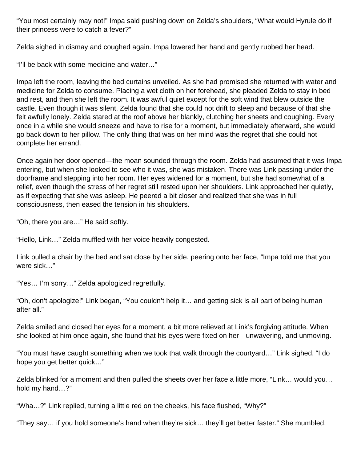"You most certainly may not!" Impa said pushing down on Zelda's shoulders, "What would Hyrule do if their princess were to catch a fever?"

Zelda sighed in dismay and coughed again. Impa lowered her hand and gently rubbed her head.

"I'll be back with some medicine and water…"

Impa left the room, leaving the bed curtains unveiled. As she had promised she returned with water and medicine for Zelda to consume. Placing a wet cloth on her forehead, she pleaded Zelda to stay in bed and rest, and then she left the room. It was awful quiet except for the soft wind that blew outside the castle. Even though it was silent, Zelda found that she could not drift to sleep and because of that she felt awfully lonely. Zelda stared at the roof above her blankly, clutching her sheets and coughing. Every once in a while she would sneeze and have to rise for a moment, but immediately afterward, she would go back down to her pillow. The only thing that was on her mind was the regret that she could not complete her errand.

Once again her door opened—the moan sounded through the room. Zelda had assumed that it was Impa entering, but when she looked to see who it was, she was mistaken. There was Link passing under the doorframe and stepping into her room. Her eyes widened for a moment, but she had somewhat of a relief, even though the stress of her regret still rested upon her shoulders. Link approached her quietly, as if expecting that she was asleep. He peered a bit closer and realized that she was in full consciousness, then eased the tension in his shoulders.

"Oh, there you are…" He said softly.

"Hello, Link…" Zelda muffled with her voice heavily congested.

Link pulled a chair by the bed and sat close by her side, peering onto her face, "Impa told me that you were sick…"

"Yes… I'm sorry…" Zelda apologized regretfully.

"Oh, don't apologize!" Link began, "You couldn't help it… and getting sick is all part of being human after all."

Zelda smiled and closed her eyes for a moment, a bit more relieved at Link's forgiving attitude. When she looked at him once again, she found that his eyes were fixed on her—unwavering, and unmoving.

"You must have caught something when we took that walk through the courtyard…" Link sighed, "I do hope you get better quick…"

Zelda blinked for a moment and then pulled the sheets over her face a little more, "Link… would you… hold my hand…?"

"Wha…?" Link replied, turning a little red on the cheeks, his face flushed, "Why?"

"They say… if you hold someone's hand when they're sick… they'll get better faster." She mumbled,